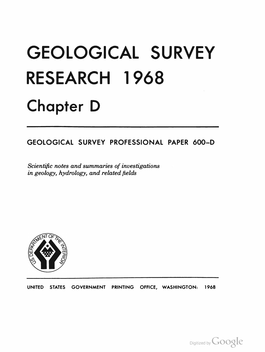# GEOLOGICAL SURVEY RESEARCH 1 968 Chapter D

## GEOLOGICAL SURVEY PROFESSIONAL PAPER 600-D

Scientific notes and summaries of investigations in geology, hydrology, and related fields



UNITED STATES GOVERNMENT PRINTING OFFICE, WASHINGTON: 1968

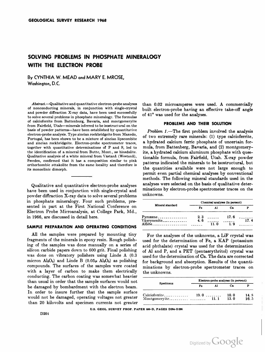### SOLVING PROBLEMS IN PHOSPHATE MINERALOGY WITH THE ELECTRON PROBE

By CYNTHIA W. MEAD and MARY E. MROSE, Washington, D.C.

Abstract. - Qualitative and quantitative electron-probe analyses of nonconducting minerals, in conjunction with single-crystal and powder diffraction X-ray data, have been used successfully to solve several problems in phosphate mineralogy. The formulas of calcioferrite from Battenburg, Bavaria, and montgomeryite from Fairfield, Utah-minerals inferred to be isostructural on the basis of powder patterns--have been established by quantitative electron-probe analysis. Type zineian roekbridgeite from Maxedo, Portugal, has been shown to be a mixture of zincian lipscombite and zincian rockbridgeite. Electron-probe spectrometer traces, together with quantitative determinations of P and S, led to the identification of a mineral from Butte, Mont., as hinsdalite. Qualitative analysis of a white mineral from Västanå (Westanå), Sweden, confirmed that it has a composition similar to pink orthorhombic attakolite from the same locality and therefore is its monoclinic dimorph.

Qualitative and quantitative electron-probe analyses have been used in conjunction with single-crystal and powder diffraction X-ray data to solve several problems in phosphate mineralogy. Four such problems, presented in part at the First National Conference on Electron Probe Microanalysis, at College Park, Md., in 1966, are discussed in detail here.

#### SAMPLE PREPARATION AND OPERATING CONDITIONS

All the samples were prepared by mounting tiny fragments of the minerals in epoxy resin. Rough polishing of the samples was done manually on a series of silicon carbide papers down to 600 grit. Final polishing was done on vibratory polishers using Linde A (0.3 micron  $Al_2O_3$ ) and Linde B (0.05 $\mu$  Al<sub>2</sub>O<sub>3</sub>) as polishing compounds. The surfaces of the samples were coated with a layer of carbon to make them electrically conducting. The carbon coating was somewhat heavier than usual in order that the sample surfaces would not be damaged by bombardment with the electron beam. In order to insure further that the sample surface would not be damaged, operating voltages not greater than 20 kilovolts and specimen currents not greater than 0.02 microamperes were used. A commercially built electron-probe having an effective take-off angle of 41° was used for the analyses.

#### PROBLEMS AND THEIR SOLUTION

Problem  $1$ .—The first problem involved the analysis of two extremely rare minerals: (1) type calcioferrite, a hydrated calcium ferric phosphate of uncertain formula, from Battenberg, Bavaria, and (2) montgomeryite, a hydrated calcium aluminum phosphate with questionable formula, from Fairfield, Utah. X-ray powder patterns indicated the minerals to be isostructural, but the quantities available were not large enough to permit even partial chemical analyses by conventional methods. The following mineral standards used in the analyses were selected on the basis of qualitative determinations by electron-probe spectrometer traces on the unknowns.

| Mineral standard        | Chemical analyses (in percent) |      |             |      |
|-------------------------|--------------------------------|------|-------------|------|
|                         | Fа                             | Al   | Cв          |      |
| Pyroxene<br>Väyrynenite | 2.3<br>4.6                     | 11.0 | 17.6<br>1.9 | 17.4 |

For the analyses of the unknowns, a LiF crystal was used for the determination of Fe, a KAP (potassium acid phthalate) crystal was used for the determination of AI and P, and a PET (pentaerythritol) crystal was used for the determination of Ca. The data are corrected for background and absorption. Results of the quantiminations by electron-probe spectrometer traces on the unknowns.

| Specimens     | Electron-probe analyses (in percent) |     |      |       |
|---------------|--------------------------------------|-----|------|-------|
|               | Fe                                   | Al  | Cв   |       |
| Calcioferrite | 19.0                                 |     | 10.0 | 14. S |
|               |                                      | 111 | 13.0 | 16.5  |

U.S. GEOL SURVEY PROF. PAPER 600-0, PAGES 0204-0206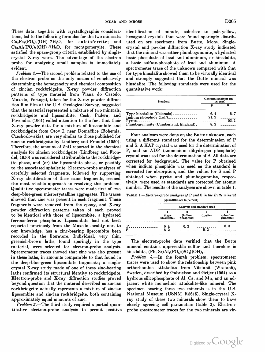These data, together with crystallographic considerations, led to the following formulas for the two minerals:  $Ca<sub>2</sub>Fe<sub>2</sub>(PO<sub>4</sub>)<sub>3</sub>(OH) \tcdot 7H<sub>2</sub>O$ , for calcioferrite; and  $Ca_2Al_2(PO_4)_3(OH) \cdot 7H_2O$ , for montgomeryite. These satisfied the space-group criteria established by singlecrystal X-ray work. The advantage of the electron probe for analyzing small samples is immediately evident.

Problem 2.—The second problem related to the use of the electron probe as the only means of conclusively determining the homogeneity and chemical composition of zincian rockbridgeite. X-ray powder diffraction patterns of type material from Viana do Castelo, Maxedo, Portugal, taken for the X-ray powder diffraction film files at the U.S. Geological Survey, suggested that the material represented a mixture of two minerals, rockbridgeite and lipscombite. Cech, Padera, and Povondra (1961) called attention to the fact that their X-ray powder data for a mixture of lipscombite and rockbridgeite from Otov I, near Domažlice (Bohemia, Czechoslovakia), are very similar to those published for zincian rockbridgeite by Lindberg and Fronde} (1950). Therefore, the amount of ZnO reported in the chemical analysis for zincian rockbridgeite (Lindberg and Frondel, 1950) was considered attributable to the rockbridgeite phase, and (or) the lipscombite phase, or possibly to the associated sphalerite. Electron-probe analyses of carefully selected fragments, followed by supporting X-ray identification of these same fragments, seemed the most reliable approach to resolving this problem. Qualitative spectrometer traces were made first of two deep-blue-green microcrystalline aggregates. The traces showed that zinc was present in each fragment. These fragments were removed from the epoxy, and  $X$ -ray powder diffraction patterns taken of each proved to be identical with those of lipscombite, a hydrated ferrous-ferric phosphate. Lipscombite had not been reported previously from the Maxedo locality nor, to our knowledge, has a zinc-bearing lipscombite been recorded in the literature. Individual, very thin, greenish-brown laths, found sparingly in the type material, were selected for electron-probe analysis. Spectrometer traces showed that zinc was also present in these laths, in amounts comparable to that found in the deep-blue-green lipscombite fragments; a singlecrystal X-ray study made of one of these zinc-bearing laths confirmed its structural identity to rockbridgeite. Electron-probe and X-ray diffraction studies proved beyond question that the material described as zincian rockbridgeite actually represents a mixture of zincian lipscombite and zincian rockbridgeite, both containing approximately equal amounts of zinc.

Problem  $3$ .-The third study required a partial quantitative electron-probe analysis to permit positive

identification of minute, colorless to pale-yellow, hexagonal crystals that were found sparingly distributed on ore specimens from Butte, Mont. Singlecrystal and powder diffraction X-ray study indicated that the mineral was either plumbogummite, a hydrated basic phosphate of lead and aluminum, or hinsdalite, a basic sulfate-phosphate of lead and aluminum. A spectrometer trace of the unknown compared with that for type hinsdalite showed them to be virtually identical and strongly suggested that the Butte mineral was hinsdalite. The following standards were used for the quantitative work:

| <b>Standard</b>                                      | Chemical analyses (in<br>percent) |              |  |
|------------------------------------------------------|-----------------------------------|--------------|--|
|                                                      |                                   |              |  |
| Type hinsdalite (Colorado)<br>Indium phosphide (InP) | 6.4<br>21.2<br>8.2                | 5, 7<br>53.1 |  |

Four analyses were done on the Butte unknown, each using a different standard for the determination of P and S. A KAP crystal was used for the determination of P, and an ADP (ammonium dihydrogen phosphate) crystal was used for the determination of S. All data are corrected for background. The value for P obtained when indium phosphide was used as the standard is corrected for absorption, and the values for S and P obtained when pyrite and plumbogummite, respectively, were used as standards are corrected for atomic number. The results of the analyses are shown in table 1.

TABLE  $1.-Electron\text{-}probe$  analyses of P and S in the Butte mineral [Quantities are in percent]

|        | Analysis and standard used |                       |               |                      |
|--------|----------------------------|-----------------------|---------------|----------------------|
|        | (type)<br>hinsdalite)      | (indium<br>phosphide) | 3<br>(pyrite) | (plumbo-<br>gummite) |
| D<br>o | 6.4<br>6.2                 | 6.2                   | 6.2           | 6.3                  |

The electron-probe data verified that the Butte mineral contains appreciable sulfur and therefore is hinsdalite,  $(Pb, Sr)Al<sub>3</sub>(PO<sub>4</sub>)(SO<sub>4</sub>)(OH)<sub>6</sub>$ .

Problem  $4$ .-In the fourth problem, spectrometer traces were used to show the relationship between pink orthorhombic attakolite from Västanå (Westanå), Sweden, described by Gabrielson and Geijer (1964) as a hydrous silicophosphate of Al, Ca, and Mn, and an adjacent white monoclinic attakolite-like mineral. The specimen bearing these two minerals is in the U.S. National Museum (USNM R5615). Single-crystal Xray study of these two minerals show them to have closely agreeing cell parameters (table 2). Electronprobe spectrometer traces for the two minerals are vir-